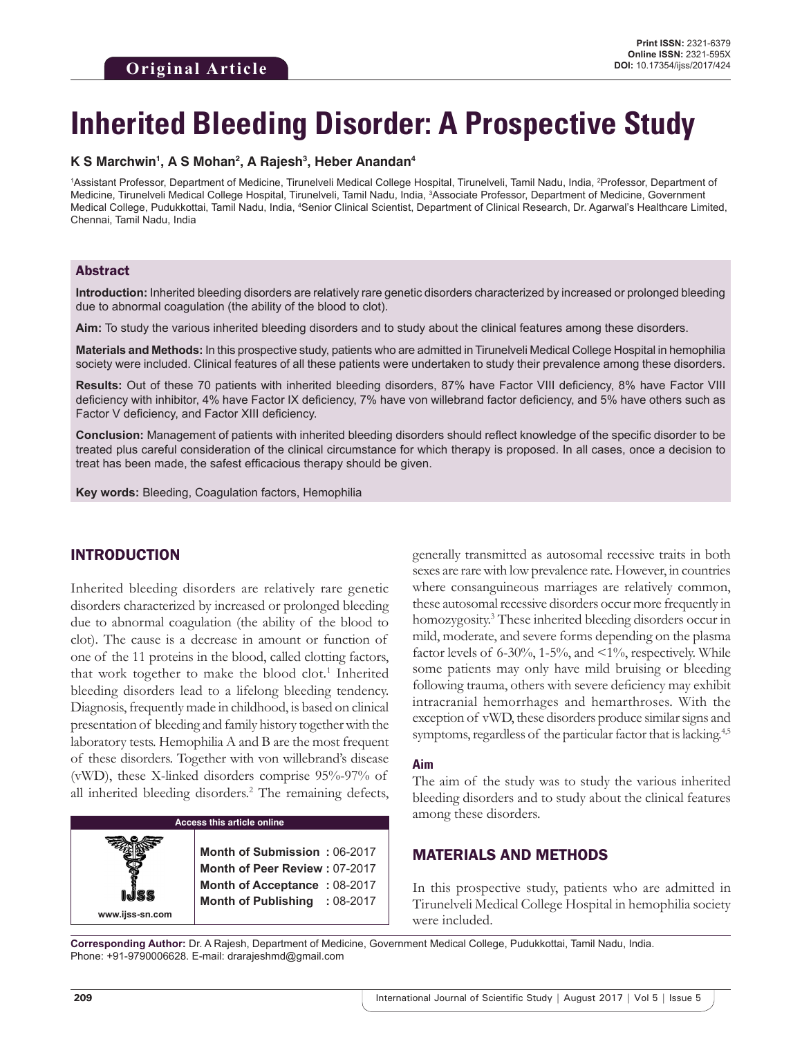# **Inherited Bleeding Disorder: A Prospective Study**

## **K S Marchwin1 , A S Mohan2 , A Rajesh3 , Heber Anandan4**

1Assistant Professor, Department of Medicine, Tirunelveli Medical College Hospital, Tirunelveli, Tamil Nadu, India, <sup>2</sup>Professor, Department of Medicine, Tirunelveli Medical College Hospital, Tirunelveli, Tamil Nadu, India, 3 Associate Professor, Department of Medicine, Government Medical College, Pudukkottai, Tamil Nadu, India, <sup>4</sup>Senior Clinical Scientist, Department of Clinical Research, Dr. Agarwal's Healthcare Limited, Chennai, Tamil Nadu, India

## Abstract

**Introduction:** Inherited bleeding disorders are relatively rare genetic disorders characterized by increased or prolonged bleeding due to abnormal coagulation (the ability of the blood to clot).

**Aim:** To study the various inherited bleeding disorders and to study about the clinical features among these disorders.

**Materials and Methods:** In this prospective study, patients who are admitted in Tirunelveli Medical College Hospital in hemophilia society were included. Clinical features of all these patients were undertaken to study their prevalence among these disorders.

**Results:** Out of these 70 patients with inherited bleeding disorders, 87% have Factor VIII deficiency, 8% have Factor VIII deficiency with inhibitor, 4% have Factor IX deficiency, 7% have von willebrand factor deficiency, and 5% have others such as Factor V deficiency, and Factor XIII deficiency.

**Conclusion:** Management of patients with inherited bleeding disorders should reflect knowledge of the specific disorder to be treated plus careful consideration of the clinical circumstance for which therapy is proposed. In all cases, once a decision to treat has been made, the safest efficacious therapy should be given.

**Key words:** Bleeding, Coagulation factors, Hemophilia

## INTRODUCTION

Inherited bleeding disorders are relatively rare genetic disorders characterized by increased or prolonged bleeding due to abnormal coagulation (the ability of the blood to clot). The cause is a decrease in amount or function of one of the 11 proteins in the blood, called clotting factors, that work together to make the blood clot.<sup>1</sup> Inherited bleeding disorders lead to a lifelong bleeding tendency. Diagnosis, frequently made in childhood, is based on clinical presentation of bleeding and family history together with the laboratory tests. Hemophilia A and B are the most frequent of these disorders. Together with von willebrand's disease (vWD), these X-linked disorders comprise 95%-97% of all inherited bleeding disorders.<sup>2</sup> The remaining defects,

#### **Access this article online**

**Month of Submission :** 06-2017 **Month of Peer Review :** 07-2017 **Month of Acceptance :** 08-2017 **Month of Publishing :** 08-2017 generally transmitted as autosomal recessive traits in both sexes are rare with low prevalence rate. However, in countries where consanguineous marriages are relatively common, these autosomal recessive disorders occur more frequently in homozygosity.<sup>3</sup> These inherited bleeding disorders occur in mild, moderate, and severe forms depending on the plasma factor levels of 6-30%, 1-5%, and  $\leq 1\%$ , respectively. While some patients may only have mild bruising or bleeding following trauma, others with severe deficiency may exhibit intracranial hemorrhages and hemarthroses. With the exception of vWD, these disorders produce similar signs and symptoms, regardless of the particular factor that is lacking.<sup>4,5</sup>

#### **Aim**

The aim of the study was to study the various inherited bleeding disorders and to study about the clinical features among these disorders.

## MATERIALS AND METHODS

In this prospective study, patients who are admitted in Tirunelveli Medical College Hospital in hemophilia society were included.

**Corresponding Author:** Dr. A Rajesh, Department of Medicine, Government Medical College, Pudukkottai, Tamil Nadu, India. Phone: +91-9790006628. E-mail: drarajeshmd@gmail.com

**www.ijss-sn.com**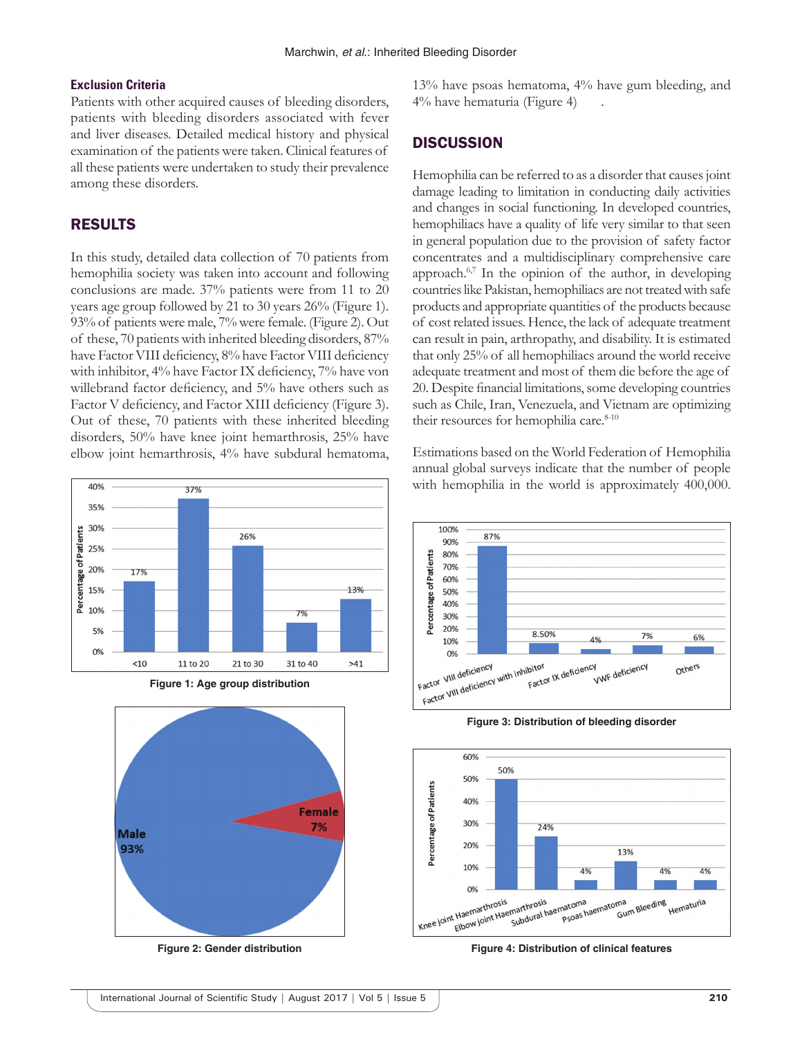#### **Exclusion Criteria**

Patients with other acquired causes of bleeding disorders, patients with bleeding disorders associated with fever and liver diseases. Detailed medical history and physical examination of the patients were taken. Clinical features of all these patients were undertaken to study their prevalence among these disorders.

## RESULTS

In this study, detailed data collection of 70 patients from hemophilia society was taken into account and following conclusions are made. 37% patients were from 11 to 20 years age group followed by 21 to 30 years 26% (Figure 1). 93% of patients were male, 7% were female. (Figure 2). Out of these, 70 patients with inherited bleeding disorders, 87% have Factor VIII deficiency, 8% have Factor VIII deficiency with inhibitor, 4% have Factor IX deficiency, 7% have von willebrand factor deficiency, and 5% have others such as Factor V deficiency, and Factor XIII deficiency (Figure 3). Out of these, 70 patients with these inherited bleeding disorders, 50% have knee joint hemarthrosis, 25% have elbow joint hemarthrosis, 4% have subdural hematoma,







**Figure 2: Gender distribution**

13% have psoas hematoma, 4% have gum bleeding, and 4% have hematuria (Figure 4) .

## **DISCUSSION**

Hemophilia can be referred to as a disorder that causes joint damage leading to limitation in conducting daily activities and changes in social functioning. In developed countries, hemophiliacs have a quality of life very similar to that seen in general population due to the provision of safety factor concentrates and a multidisciplinary comprehensive care approach.6,7 In the opinion of the author, in developing countries like Pakistan, hemophiliacs are not treated with safe products and appropriate quantities of the products because of cost related issues. Hence, the lack of adequate treatment can result in pain, arthropathy, and disability. It is estimated that only 25% of all hemophiliacs around the world receive adequate treatment and most of them die before the age of 20. Despite financial limitations, some developing countries such as Chile, Iran, Venezuela, and Vietnam are optimizing their resources for hemophilia care.<sup>8-10</sup>

Estimations based on the World Federation of Hemophilia annual global surveys indicate that the number of people with hemophilia in the world is approximately 400,000.



**Figure 3: Distribution of bleeding disorder**



**Figure 4: Distribution of clinical features**